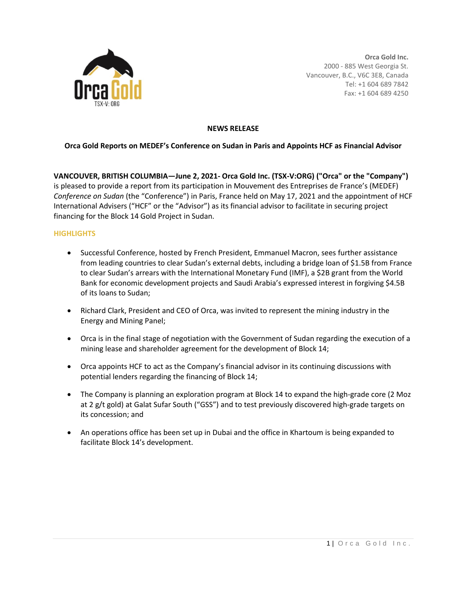

**Orca Gold Inc.** 2000 - 885 West Georgia St. Vancouver, B.C., V6C 3E8, Canada Tel: +1 604 689 7842 Fax: +1 604 689 4250

## **NEWS RELEASE**

# **Orca Gold Reports on MEDEF's Conference on Sudan in Paris and Appoints HCF as Financial Advisor**

**VANCOUVER, BRITISH COLUMBIA—June 2, 2021- Orca Gold Inc. (TSX-V:ORG) ("Orca" or the "Company")**  is pleased to provide a report from its participation in Mouvement des Entreprises de France's (MEDEF) *Conference on Sudan* (the "Conference") in Paris, France held on May 17, 2021 and the appointment of HCF International Advisers ("HCF" or the "Advisor") as its financial advisor to facilitate in securing project financing for the Block 14 Gold Project in Sudan.

# **HIGHLIGHTS**

- Successful Conference, hosted by French President, Emmanuel Macron, sees further assistance from leading countries to clear Sudan's external debts, including a bridge loan of \$1.5B from France to clear Sudan's arrears with the International Monetary Fund (IMF), a \$2B grant from the World Bank for economic development projects and Saudi Arabia's expressed interest in forgiving \$4.5B of its loans to Sudan;
- Richard Clark, President and CEO of Orca, was invited to represent the mining industry in the Energy and Mining Panel;
- Orca is in the final stage of negotiation with the Government of Sudan regarding the execution of a mining lease and shareholder agreement for the development of Block 14;
- Orca appoints HCF to act as the Company's financial advisor in its continuing discussions with potential lenders regarding the financing of Block 14;
- The Company is planning an exploration program at Block 14 to expand the high-grade core (2 Moz at 2 g/t gold) at Galat Sufar South ("GSS") and to test previously discovered high-grade targets on its concession; and
- An operations office has been set up in Dubai and the office in Khartoum is being expanded to facilitate Block 14's development.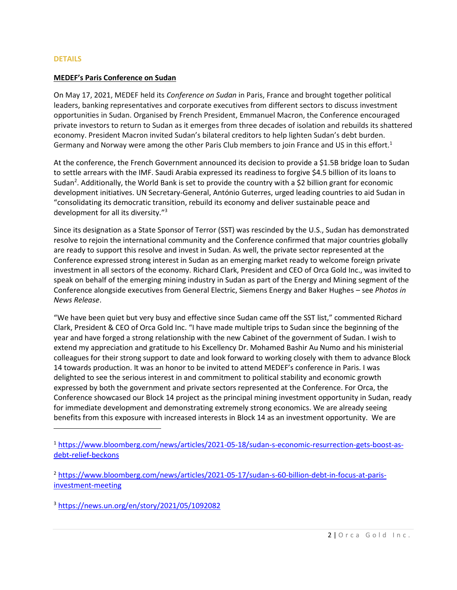#### **DETAILS**

### **MEDEF's Paris Conference on Sudan**

On May 17, 2021, MEDEF held its *Conference on Sudan* in Paris, France and brought together political leaders, banking representatives and corporate executives from different sectors to discuss investment opportunities in Sudan. Organised by French President, Emmanuel Macron, the Conference encouraged private investors to return to Sudan as it emerges from three decades of isolation and rebuilds its shattered economy. President Macron invited Sudan's bilateral creditors to help lighten Sudan's debt burden. Germany and Norway were among the other Paris Club members to join France and US in this effort.<sup>1</sup>

At the conference, the French Government announced its decision to provide a \$1.5B bridge loan to Sudan to settle arrears with the IMF. Saudi Arabia expressed its readiness to forgive \$4.5 billion of its loans to Sudan<sup>2</sup>. Additionally, the World Bank is set to provide the country with a \$2 billion grant for economic development initiatives. UN Secretary-General, António Guterres, urged leading countries to aid Sudan in "consolidating its democratic transition, rebuild its economy and deliver sustainable peace and development for all its diversity."<sup>3</sup>

Since its designation as a State Sponsor of Terror (SST) was rescinded by the U.S., Sudan has demonstrated resolve to rejoin the international community and the Conference confirmed that major countries globally are ready to support this resolve and invest in Sudan. As well, the private sector represented at the Conference expressed strong interest in Sudan as an emerging market ready to welcome foreign private investment in all sectors of the economy. Richard Clark, President and CEO of Orca Gold Inc., was invited to speak on behalf of the emerging mining industry in Sudan as part of the Energy and Mining segment of the Conference alongside executives from General Electric, Siemens Energy and Baker Hughes – see *Photos in News Release*.

"We have been quiet but very busy and effective since Sudan came off the SST list," commented Richard Clark, President & CEO of Orca Gold Inc. "I have made multiple trips to Sudan since the beginning of the year and have forged a strong relationship with the new Cabinet of the government of Sudan. I wish to extend my appreciation and gratitude to his Excellency Dr. Mohamed Bashir Au Numo and his ministerial colleagues for their strong support to date and look forward to working closely with them to advance Block 14 towards production. It was an honor to be invited to attend MEDEF's conference in Paris. I was delighted to see the serious interest in and commitment to political stability and economic growth expressed by both the government and private sectors represented at the Conference. For Orca, the Conference showcased our Block 14 project as the principal mining investment opportunity in Sudan, ready for immediate development and demonstrating extremely strong economics. We are already seeing benefits from this exposure with increased interests in Block 14 as an investment opportunity. We are

<sup>3</sup> <https://news.un.org/en/story/2021/05/1092082>

<sup>1</sup> [https://www.bloomberg.com/news/articles/2021-05-18/sudan-s-economic-resurrection-gets-boost-as](https://www.bloomberg.com/news/articles/2021-05-18/sudan-s-economic-resurrection-gets-boost-as-debt-relief-beckons)[debt-relief-beckons](https://www.bloomberg.com/news/articles/2021-05-18/sudan-s-economic-resurrection-gets-boost-as-debt-relief-beckons)

<sup>2</sup> [https://www.bloomberg.com/news/articles/2021-05-17/sudan-s-60-billion-debt-in-focus-at-paris](https://www.bloomberg.com/news/articles/2021-05-17/sudan-s-60-billion-debt-in-focus-at-paris-investment-meeting)[investment-meeting](https://www.bloomberg.com/news/articles/2021-05-17/sudan-s-60-billion-debt-in-focus-at-paris-investment-meeting)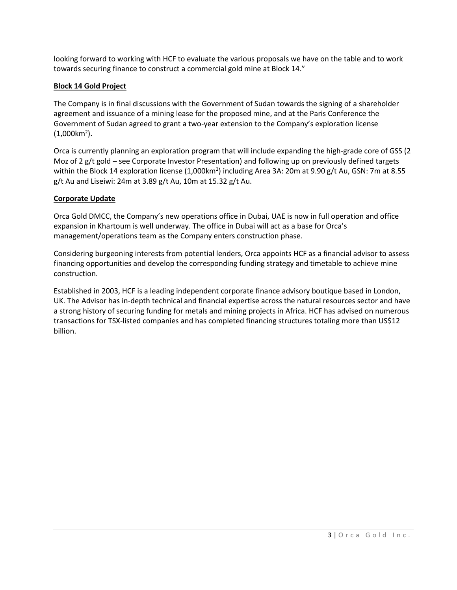looking forward to working with HCF to evaluate the various proposals we have on the table and to work towards securing finance to construct a commercial gold mine at Block 14."

# **Block 14 Gold Project**

The Company is in final discussions with the Government of Sudan towards the signing of a shareholder agreement and issuance of a mining lease for the proposed mine, and at the Paris Conference the Government of Sudan agreed to grant a two-year extension to the Company's exploration license  $(1,000km^2)$ .

Orca is currently planning an exploration program that will include expanding the high-grade core of GSS (2 Moz of 2 g/t gold – see Corporate Investor Presentation) and following up on previously defined targets within the Block 14 exploration license (1,000km<sup>2</sup>) including Area 3A: 20m at 9.90 g/t Au, GSN: 7m at 8.55 g/t Au and Liseiwi: 24m at 3.89 g/t Au, 10m at 15.32 g/t Au.

# **Corporate Update**

Orca Gold DMCC, the Company's new operations office in Dubai, UAE is now in full operation and office expansion in Khartoum is well underway. The office in Dubai will act as a base for Orca's management/operations team as the Company enters construction phase.

Considering burgeoning interests from potential lenders, Orca appoints HCF as a financial advisor to assess financing opportunities and develop the corresponding funding strategy and timetable to achieve mine construction.

Established in 2003, HCF is a leading independent corporate finance advisory boutique based in London, UK. The Advisor has in-depth technical and financial expertise across the natural resources sector and have a strong history of securing funding for metals and mining projects in Africa. HCF has advised on numerous transactions for TSX-listed companies and has completed financing structures totaling more than US\$12 billion.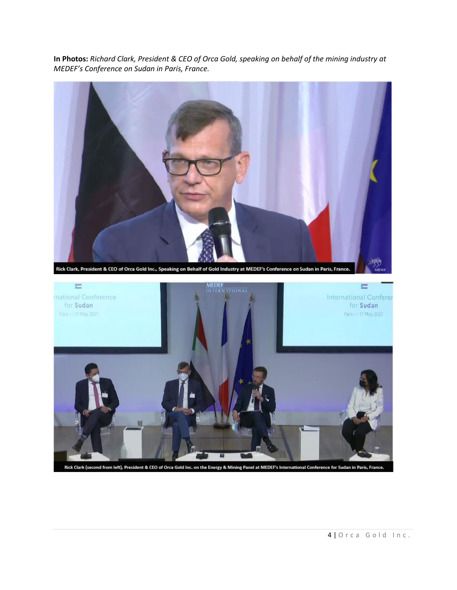**In Photos:** *Richard Clark, President & CEO of Orca Gold, speaking on behalf of the mining industry at MEDEF's Conference on Sudan in Paris, France.*



Rick Clark (second from left), President & CEO of Orca Gold Inc. on the Energy & Mining Panel at MEDEF's International Conference for Sudan in Paris, France.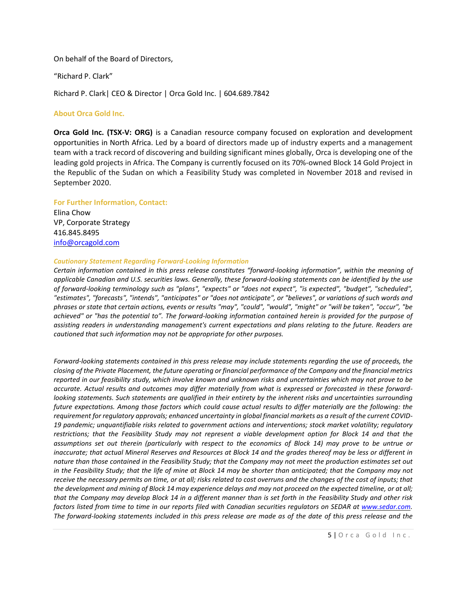On behalf of the Board of Directors,

"Richard P. Clark"

Richard P. Clark| CEO & Director | Orca Gold Inc. | 604.689.7842

## **About Orca Gold Inc.**

**Orca Gold Inc. (TSX-V: ORG)** is a Canadian resource company focused on exploration and development opportunities in North Africa. Led by a board of directors made up of industry experts and a management team with a track record of discovering and building significant mines globally, Orca is developing one of the leading gold projects in Africa. The Company is currently focused on its 70%-owned Block 14 Gold Project in the Republic of the Sudan on which a Feasibility Study was completed in November 2018 and revised in September 2020.

# **For Further Information, Contact:**

Elina Chow VP, Corporate Strategy 416.845.8495 [info@orcagold.com](mailto:info@orcagold.com)

### *Cautionary Statement Regarding Forward-Looking Information*

*Certain information contained in this press release constitutes "forward-looking information", within the meaning of* applicable Canadian and U.S. securities laws. Generally, these forward-looking statements can be identified by the use *of forward-looking terminology such as "plans", "expects" or "does not expect", "is expected", "budget", "scheduled",* "estimates", "forecasts", "intends", "anticipates" or "does not anticipate", or "believes", or variations of such words and phrases or state that certain actions, events or results "may", "could", "would", "might" or "will be taken", "occur", "be achieved" or "has the potential to". The forward-looking information contained herein is provided for the purpose of *assisting readers in understanding management's current expectations and plans relating to the future. Readers are cautioned that such information may not be appropriate for other purposes.*

Forward-looking statements contained in this press release may include statements regarding the use of proceeds, the closing of the Private Placement, the future operating or financial performance of the Company and the financial metrics reported in our feasibility study, which involve known and unknown risks and uncertainties which may not prove to be accurate. Actual results and outcomes may differ materially from what is expressed or forecasted in these forwardlooking statements. Such statements are qualified in their entirety by the inherent risks and uncertainties surrounding future expectations. Among those factors which could cause actual results to differ materially are the following: the requirement for regulatory approvals; enhanced uncertainty in global financial markets as a result of the current COVID-*19 pandemic; unquantifiable risks related to government actions and interventions; stock market volatility; regulatory* restrictions; that the Feasibility Study may not represent a viable development option for Block 14 and that the assumptions set out therein (particularly with respect to the economics of Block 14) may prove to be untrue or inaccurate; that actual Mineral Reserves and Resources at Block 14 and the grades thereof may be less or different in nature than those contained in the Feasibility Study; that the Company may not meet the production estimates set out in the Feasibility Study; that the life of mine at Block 14 may be shorter than anticipated; that the Company may not receive the necessary permits on time, or at all; risks related to cost overruns and the changes of the cost of inputs; that the development and mining of Block 14 may experience delays and may not proceed on the expected timeline, or at all; that the Company may develop Block 14 in a different manner than is set forth in the Feasibility Study and other risk factors listed from time to time in our reports filed with Canadian securities regulators on SEDAR at [www.sedar.com.](http://www.sedar.com/) The forward-looking statements included in this press release are made as of the date of this press release and the